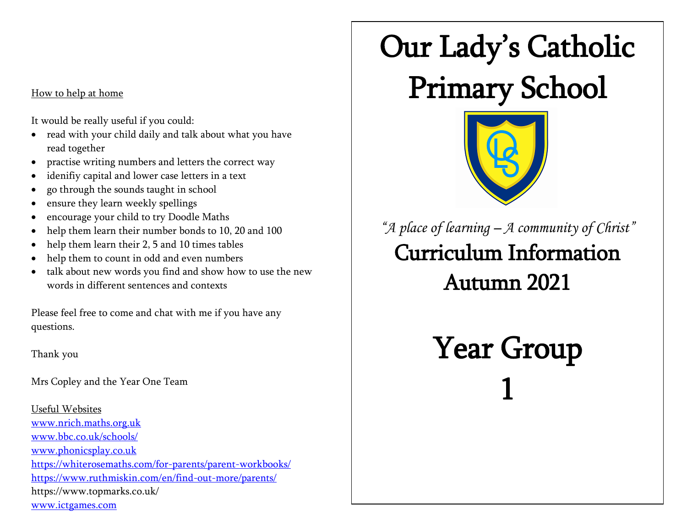## How to help at home

It would be really useful if you could:

- read with your child daily and talk about what you have read together
- practise writing numbers and letters the correct way
- idenifiy capital and lower case letters in a text
- go through the sounds taught in school
- ensure they learn weekly spellings
- encourage your child to try Doodle Maths
- help them learn their number bonds to 10, 20 and 100
- help them learn their 2, 5 and 10 times tables
- help them to count in odd and even numbers
- talk about new words you find and show how to use the new words in different sentences and contexts

Please feel free to come and chat with me if you have any questions.

Thank you

Mrs Copley and the Year One Team

Useful Websites [www.nrich.maths.org.uk](http://www.nrich.maths.org.uk/) [www.bbc.co.uk/schools/](http://www.bbc.co.uk/schools/) [www.phonicsplay.co.uk](http://www.phonicsplay.co.uk/) https://whiterosemaths.com/for-parents/parent-workbooks/ <https://www.ruthmiskin.com/en/find-out-more/parents/> https://www.topmarks.co.uk/ [www.ictgames.com](http://www.ictgames.com/)

## Our Lady's Catholic Primary School



*"A place of learning – A community of Christ"* Curriculum Information Autumn 2021

> Year Group 1